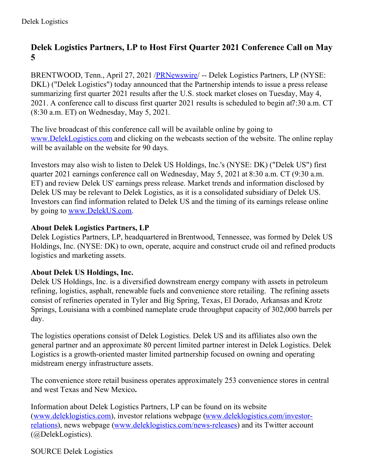## **Delek Logistics Partners, LP to Host First Quarter 2021 Conference Call on May 5**

BRENTWOOD, Tenn., April 27, 2021 /**PRNewswire/** -- Delek Logistics Partners, LP (NYSE: DKL) ("Delek Logistics") today announced that the Partnership intends to issue a press release summarizing first quarter 2021 results after the U.S. stock market closes on Tuesday, May 4, 2021. A conference call to discuss first quarter 2021 results is scheduled to begin at7:30 a.m. CT (8:30 a.m. ET) on Wednesday, May 5, 2021.

The live broadcast of this conference call will be available online by going to [www.DelekLogistics.com](https://c212.net/c/link/?t=0&l=en&o=3143801-1&h=3030172283&u=http%3A%2F%2Fwww.deleklogistics.com%2F&a=www.DelekLogistics.com) and clicking on the webcasts section of the website. The online replay will be available on the website for 90 days.

Investors may also wish to listen to Delek US Holdings, Inc.'s (NYSE: DK) ("Delek US") first quarter 2021 earnings conference call on Wednesday, May 5, 2021 at 8:30 a.m. CT (9:30 a.m. ET) and review Delek US' earnings press release. Market trends and information disclosed by Delek US may be relevant to Delek Logistics, as it is a consolidated subsidiary of Delek US. Investors can find information related to Delek US and the timing of its earnings release online by going to [www.DelekUS.com](https://c212.net/c/link/?t=0&l=en&o=3143801-1&h=4092604952&u=http%3A%2F%2Fwww.delekus.com%2F&a=www.DelekUS.com).

## **About Delek Logistics Partners, LP**

Delek Logistics Partners, LP, headquartered in Brentwood, Tennessee, was formed by Delek US Holdings, Inc. (NYSE: DK) to own, operate, acquire and construct crude oil and refined products logistics and marketing assets.

## **About Delek US Holdings, Inc.**

Delek US Holdings, Inc. is a diversified downstream energy company with assets in petroleum refining, logistics, asphalt, renewable fuels and convenience store retailing. The refining assets consist of refineries operated in Tyler and Big Spring, Texas, El Dorado, Arkansas and Krotz Springs, Louisiana with a combined nameplate crude throughput capacity of 302,000 barrels per day.

The logistics operations consist of Delek Logistics. Delek US and its affiliates also own the general partner and an approximate 80 percent limited partner interest in Delek Logistics. Delek Logistics is a growth-oriented master limited partnership focused on owning and operating midstream energy infrastructure assets.

The convenience store retail business operates approximately 253 convenience stores in central and west Texas and New Mexico**.**

Information about Delek Logistics Partners, LP can be found on its website [\(www.deleklogistics.com](https://c212.net/c/link/?t=0&l=en&o=3143801-1&h=3400545001&u=http%3A%2F%2Fwww.deleklogistics.com%2F&a=www.deleklogistics.com)), investor relations webpage (www.deleklogistics.com/investor-relations), news webpage [\(www.deleklogistics.com/news-releases\)](https://c212.net/c/link/?t=0&l=en&o=3143801-1&h=1195707337&u=https%3A%2F%2Fwww.deleklogistics.com%2Finvestor-relations&a=www.deleklogistics.com%2Finvestor-relations) and its Twitter account (@DelekLogistics).

SOURCE Delek Logistics